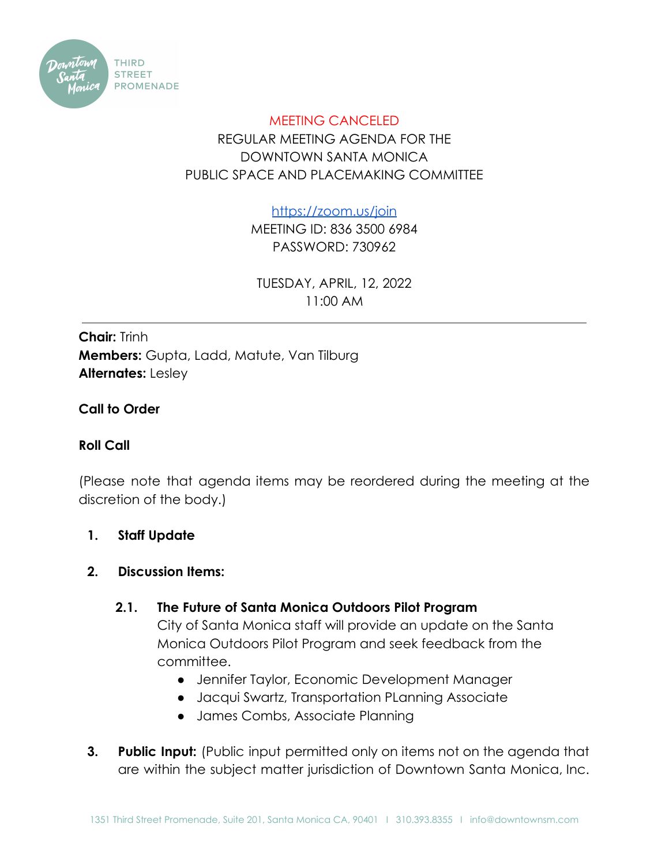

# MEETING CANCELED REGULAR MEETING AGENDA FOR THE DOWNTOWN SANTA MONICA PUBLIC SPACE AND PLACEMAKING COMMITTEE

<https://zoom.us/join>

MEETING ID: 836 3500 6984 PASSWORD: 730962

TUESDAY, APRIL, 12, 2022 11:00 AM

**Chair:** Trinh **Members:** Gupta, Ladd, Matute, Van Tilburg **Alternates:** Lesley

# **Call to Order**

# **Roll Call**

(Please note that agenda items may be reordered during the meeting at the discretion of the body.)

# **1. Staff Update**

#### **2. Discussion Items:**

# **2.1. The Future of Santa Monica Outdoors Pilot Program**

City of Santa Monica staff will provide an update on the Santa Monica Outdoors Pilot Program and seek feedback from the committee.

- Jennifer Taylor, Economic Development Manager
- Jacqui Swartz, Transportation PLanning Associate
- James Combs, Associate Planning
- **3. Public Input:** (Public input permitted only on items not on the agenda that are within the subject matter jurisdiction of Downtown Santa Monica, Inc.